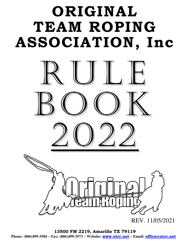# **ORIGINAL TEAM ROPING ASSOCIATION, Inc**



**13500 FM 2219, Amarillo TX 79119 Phone: (806)499-3584 ~ Fax: (806)499-3573 ~ Website: www.otrc.net ~ Email: office@otrc.net**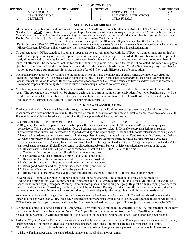| TABLE OF CONTENTS |                       |                    |  |                |                             |                    |  |
|-------------------|-----------------------|--------------------|--|----------------|-----------------------------|--------------------|--|
| <b>SECTION</b>    | TITLE                 | <b>PAGE NUMBER</b> |  | <b>SECTION</b> | TITLE                       | <b>PAGE NUMBER</b> |  |
|                   | <b>MEMBERSHIP</b>     |                    |  |                | ROPING RULES                | 4 & 5              |  |
|                   | <b>CLASSIFICATION</b> |                    |  |                | <b>PAY-OFF CALCULATIONS</b> |                    |  |
|                   | DISTRICTS             |                    |  |                | <b>OTRA FINALS</b>          |                    |  |

**TABLE OF CONTENTS** 

# **SECTION 1 -- MEMBERSHIP**

1. All membership applications and dues must be sent to the Amarillo office or submitted at a District or OTRA sanctioned Roping. Standard Fee:  $\frac{$65.00}{}$  ~ Ropers from 13 to 69 years of age. One classification number is assigned. Roper can head & heel on this one number. Youth/Senior Fee: \$35.00 ~ Youth -12 years of age & younger. Senior - 70 years of age & older. One classification number is assigned. Double Number Fee: \$10.00 ~ Paid in addition to the Standard or Youth/Senior Fee.

Required if roper wants to be eligible for different heading & heeling classification numbers. Family Discount: \$10 off *EACH* roper when 3 or more immediate family members in same household purchase memberships at the same time. Military Discount: \$5 off any military personnel; must provide military ID number on membership application form.

- 2. To compete at any OTRA sanctioned roping, a roper must be a current member with the OTRA. A member must present his/her card to the roping secretary or Producer upon request to receive any money or prizes awarded. If a member is unable to present a card, all money and prizes may be held until current membership is verified. If a roper competes without paying membership dues, all efforts will be made to collect the fee for the membership year; in the event the fee is not collected, the roper must pay a \$40 fine before being allowed to purchase a membership for the next membership year. *For the Open Roping only*, roper has the option to purchase a full membership or pay an office fee of \$10 on each different date of competition.
- 3. Membership applications can be submitted to the Amarillo office via mail, telephone, fax or email. Checks, cash or credit cards are accepted. Applications will be processed as soon as possible. If a card or any other correspondence is not received within three weeks, contact the Amarillo office. Ropers are responsible for contacting the Amarillo office any time an address change is necessary. The roper is responsible for being able to prove current membership in order to collect winnings.
- 4. Membership cards will display member name, classification number(s), district number, date of birth and current membership year. The appearance of the card will be changed each year so current members are easily identified. Membership cards will be valid from January 1 to December 31 of the year for which the card was purchased. The Amarillo office will provide each Producer with a current classification list for the appropriate District(s).

# **SECTION 2 -- CLASSIFICATION**

- 1. Final approval on classifications will be made through the Amarillo office. A Producer may assign a temporary classification when a roper purchases a new membership at any OTRA sanctioned roping. Classifications are always subject to change based on a roper's ability. If a roper is not double-numbered, the assigned classification applies to both heading and heeling.
- 2. Classifications are: .25(Beginner) 0.5 1.0 1.5 2.0 2.5 3.0 3.5 4.0 . .25 (Beginner) Has not been roping for more than two years. Has never won a career total of \$500 in money and/or prizes in any roping competitions. This is a temporary classification. Once a Beginner roper has won at least \$800, or after observation during competition, his/her classification number will be reviewed & adjusted according to the roper's ability. At the end of the fourth calendar year of being a .25, a .25 roper will be assigned the next appropriate classification regardless of money won. Within the first TWO years ONLY of being classified as a .25, when a roper has won \$800 or more in the OTRA, the OTRA will award the roper a trophy buckle. If a Beginner Roper is awarded a buckle at any sanctioned OTRA event, that roper is no longer eligible for the Beginner Graduate Buckle. A Beginner roper is considered a .25 for both heading and heeling. A .25 classification cannot be allowed as a double number with a higher classification on one end or the other.
	- 0.5 Has not established a skilled pattern of consistency. Catches LESS THAN 50% of the time.
	- 1.0 Catches with some consistency. Has difficulty controlling a run.
	- 1.5 Can control a run. Has difficulty roping quickly and consistently.
	- 2.0 Has accomplished basic timing and control. Speed is inconsistent.
	- 2.5 Can combine speed, timing and control under most circumstances.
	- 3.0 Rides good position and easily combines speed, timing and control.
	- 3.5 Rides excellent position and controls the pace of the run.
	- 4.0 Highly skilled at riding aggressive position and dictating the pace of the run Professional caliber ropers.
- Several areas of input contribute to a roper's classification being changed. These include, but may not be limited to: Riding and roping ability level, Experience and horsemanship skills, Average times and Fast times, Multiple call-backs to the short round in one roping category, Winning three or more places in one roping category, Request from any roping producer for a classification review, Consistency in placing in each home District Roping, Results from OTRA, other associations, & other non-sanctioned ropings (number of teams considered), Consistently outperforming others with the same classification.
- 4. Any time a classification is changed, the roper will be sent a new card and letter via first class mail. The old card should be sent to the Amarillo office or given to an OTRA Producer. Classification number changes will be posted on the website and notification will be sent to OTRA Producers. If a roper competes with a number from an old/outdated card, that roper will be subject to suspension from the OTRA.
- 5. A roper may appeal his/her classification. An Appeal Form must be submitted to the Amarillo office. All information on the form must be completed. It can be mailed or faxed. The Appeal Form can be requested from the Amarillo office; it is also posted on the website. A written explanation of the decision on the appeal will be sent once a conclusion has been reached.
- 6. Under the "Coyote Clause," a Producer has the right to immediately raise a roper's classification. This applies only when a roper is substantially under numbered. This rule is in effect at all ropings including the OTRA Finals. Professionalism must be maintained at all times. The Producer is required to obtain the roper's membership card and submit it along with an appropriate explanation to the Amarillo office.
- 7. At District Finals, a roper cannot purchase a double number that would allow a lower number.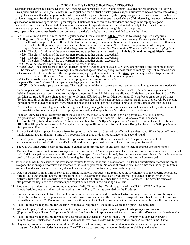### **SECTION 3 -- DISTRICTS & ROPING CATEGORIES**

- 1. Members must designate a Home District. Any member can participate in any District roping. Qualification requirements for District Finals prizes will be *the same for all districts*. To be qualified for a district's finals' prizes, a roper must have competed on two dates during the regular season in that district prior to the district finals date. Qualifications are by the roping category; so the roper must be qualified in a particular category to be eligible for prizes in that category. If a roper's number gets changed after the  $3<sup>rd</sup>$  district roping, that roper can have their qualification status moved up to the next higher category. Qualifications are earned by attendance and entry in the roping category; payment for turn outs is not accepted. Use of a medical release for qualification must be submitted directly to the Home Office for review and approval. Any roper from any district that is qualified by attendance is eligible to win the prizes. Any roper with a current membership can compete at a district's finals, but only those qualified can win the prizes.
- 2. Each District must have a minimum of 5 regular season District events & **MUST** offer the following required categories: <> **Beginner .25** – Only ropers with a .25 classification can compete. **\***This is a 3 head roping. This roping should be held even with just a couple of teams. If due to lack of participation, for example there are no beginner heelers, to receive attendance credit for the Beginner, ropers must submit their name for the Beginner THEN, must compete in the #1.0 Roping; qualifications then count for both the Beginner and #1.0 *– this is ONLY acceptable IF there is NO Beginner roping held.*
	- **<> 1.0**  The classifications of the two partners roping together cannot exceed 1.0. **This is a 3 head roping at District level.**
	- **<> 2.0**  The classifications of the two partners roping together cannot exceed 2.0.
	- $\leq$  2.5 The classifications of the two partners roping together cannot exceed 2.5.
	- <> **3.5** The classifications of the two partners roping together cannot exceed 3.5.
	- *OPTIONAL* categories a producer may *choose* to offer include:
	- > *Mixed-Jr/Sr* The classifications of the two partners roping together cannot exceed 3.5 *AND* one partner of the team must either be female OR 12 years of age or younger OR 60 years of age or older. Age requirement must be met by July 1 of membership year.
	- > *Century*The classifications of the two partners roping together cannot exceed 3.5 *AND* partners ages added together must equal 100 or more. Age requirement must be met by July 1 of membership year.
	- > *4.5* The classifications of the two partners roping together cannot exceed 4.5.
	- > *Open* The classifications of the two partners roping together has no limit.
	- > *All-Girl* Only female ropers can compete. The classifications of the two partners roping together has no limit (an incentive is optional).

 In the upper numbered ropings (3.5 & above) at the district level, it is acceptable to have a slide, then the one roping can be held and attendance can be counted for multiple categories. Round Robins are not allowed. Slide fees can be either: \$40 or \$50 per Man per run, 35% stock charge; enter up to 10 times **OR** \$60 or \$80 per Man per run at 80% payback; enter up to 10 times. To determine times in the slide roping, OTRA recommends that the base category teams have a straight time & there will be 1 second per half number added on to teams higher than the base and 1 second per half number subtracted from teams lower than the base.

- 3. No more than two roping categories can be run together. For any ropings that are run together, entries, qualifications and pay-outs are separate. It is mandatory that ropers compete in the roping categories offered for qualification/attendance requirements to be met.
- 4. Standard entry fees on all categories from the 2.5 and below are \$40.00 0R \$50.00 per Man per run at 35% stock charge, progressive on 1; enter up to 10 times. Beginner and the #1.0 are both 3 headers. The 2.0  $\&$  above are all 4 headers. Fees for the #3.5, #4.5, Mixed-Jr/Sr & Century can be either: \$40 or \$50 per Man per run, 35% stock charge; enter up to 10 times **OR** \$60 or \$80 per Man per run at 80% payback; enter up to 10 times. Fees for the Open – Bring 1 / Draw 1 for \$200 per Man at 80% payback. Enter 1 or 2 times.
- 5. In the 3.5 and higher ropings, Producers have the option to implement a 16 second cut-off time in the first round. When the cut-off time is implemented, a team that has a time of 16 seconds flat or greater does not advance to the second round.
- 6. Ropers 10 years of age & younger are allowed to rope free two times in the 1.0 and two times in the 2.0. The partner also ropes for free. After winning a total of \$250 in the OTRA, a 10 and under roper must pay entry fees from that point forward.
- 7. The OTRA Home Office reserves the right to change a roping category at any time, due to lack of interest or other reasons.
- 8. Producer has the authority to make a roping format a draw pot, a pick/draw, or pick only. Under a draw format, entry limit may be exceeded *only* if additional paid runs are used to fill the draw. If any type of draw format is used, fees must equate as noted above. If extra draw runs are used to fill a draw, Producer is responsible for setting the rules and informing the ropers of how the runs will be managed.
- 9. Prior to winnings being awarded, the Producer is required to verify the ropers' classifications. If a team's classification exceeds the roping category, the winnings are forfeited and awarded to the next eligible team. No one is allowed to enter more times than the entry limit; this will result in disqualification. Under any disqualification, entry fees are forfeited; no refunds are given.
- 10. Dates of District ropings will be sent to all current members. Producers are required to notify members of the specific schedules, formats and other general District information. OTRA recommends that each Producer mail postcards or flyers prior to the district's first date. The Amarillo office will print and send District member listings to the Producers. The Amarillo office can also provide mailing labels to a Producer upon request or can assist in coordinating a mail out.
- 11. Producers may advertise in any roping magazine. Dally Times is the official magazine of the OTRA. OTRA will submit dates/schedules, results and any winner's photos to the Dally Times as provided by the Producer.
- 12. Producer's are responsible to collect and act on returned checks received from their District ropings. Producers have the right to refuse checks for fees and operate on a cash only basis. Producers have the discretion to suspend a member for a check resulting in insufficient funds. OTRA is not liable to cover these checks. OTRA recommends that Producers use a check-collecting agency.
- 13. Each Producer is responsible for securing insurance as required by the facility where the ropings are being held.
- 14. After each roping, Producers must submit: result sheets, time sheets, a by the roping entry listing of all participants, team count money (\$2 per team, Regular Season & \$1 per team, Off-Season) and membership applications with fees to the home office. (Do not send cash in the mail.)
- 15. Each Producer is responsible for making sure prizes are awarded at District Finals. OTRA will provide each District with a minimum of four buckles for District Finals. Additionally, two more buckles will be provided for every 75 members in the District.
- 16. Any roper, Producer or anyone employed by a Producer shall not at any time consume alcohol in the arena while a roping is in progress. Alcohol is forbidden in the arena. The OTRA may suspend any member or Producer not abiding by this rule.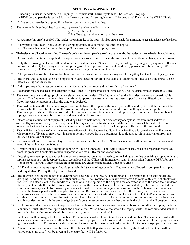#### **SECTION 4 -- ROPING RULES**

- 1. A heading barrier is mandatory in all ropings. A "quick start" barrier system will be used at all ropings. A FIVE second penalty is applied for any broken barrier. A heeling barrier will be used at all Districts & the OTRA Finals.
- 2. A five second penalty is applied if the heeler catches only one hind leg.
- 3. There are only three legal head catches: 1) Around the horns (slick horns)
	- 2) Around the neck
	- 3) Half head (around one horn and the nose).
- 4. An automatic "no time" is applied if the header ropes a front leg of the steer. No allowance is made for attempting to get a front leg out of the loop.
- 5. If any part of the steer's body enters the stripping chute, an automatic "no time" is applied. No allowance is made for attempting to pull the steer out of the stripping chute.
- 6. The heeler is not allowed to cross-fire. The steer's body must be completely turned *and* be in tow by the header before the heeler throws his rope.
- 7. An automatic "no time" is applied if a roper removes a rope from a steer in the arena unless the flagman has given permission.
- 8. Only the following heelers are allowed to tie on: 1) all females, 2) any roper 12 years of age or younger, 3) any roper 50 years of age or older, 4) there may also be exception given to a roper with a medical handicap (approval must be given by OTRA Home Office.) OTRA recommends that any heeler tying on use a quick release.
- 9. All ropers must follow their steers out of the arena. Both the header and the heeler are responsible for getting the steer to the stripping chute.
- 10. The arena should be kept clear of congestion in consideration for all of the teams. Headers should make sure the arena is clear before calling for the steer.
- 11. A dropped rope that must be recoiled is considered a thrown rope and will result in a "no time."
- 12. Both ropers must be mounted for the flagman to give a time. If a roper comes off his horse during a run, he cannot remount and receive a time.
- 13. The steer must be standing upright when either headed or heeled. The flagman makes the final decision on any questionable catches. The flagman may determine a "no time" is appropriate after the time has been stopped due to an illegal catch or other factor that was not apparent when the time was declared.
- 14. Time will be taken after the steer is roped, secured between the ropers with both ropes, dallied and tight. Both horses must be facing each other with front feet on the ground. A dally is one full wrap of the saddle horn; nothing else is acceptable. Time is stopped when the flag is dropped. The flagman has discretion on when to drop the flag for time in the low numbered ropings. Consistency must be exercised and safety should have priority.
- 15. If there is any malfunction of equipment (including a barrier malfunction), or a discrepancy of any kind, the team must address it with the flagman immediately. If, in the opinion of the flagman, the malfunction hindered the run, the team shall be entitled to a rerun considering the team declares the malfunction immediately. All re-runs will be made up prior to the end of the go round.
- 16. There will be no tolerance of cruel treatment to any livestock. The flagman has discretion on handling this type of situation if it occurs. Mistreatment of livestock may result in a roper being removed from the premises; it could also result in suspension from the OTRA for one year or more.
- 17. No dogs are allowed in the arena. Any dog on the premises must be on a leash. Some facilities do not allow dogs on the premises at all; rules of the facility must be followed.
- 18. Unsportsman-like conduct, fighting or cursing will not be tolerated. This type of behavior may result in a roper being removed from the premises; it could also result in suspension from the OTRA for one year or more.
- 19. Engaging in or attempting to engage in any action threatening, berating, harassing, intimidating, assaulting or striking a roping official, a roping spectator or a producer/representative/employee of the OTRA will immediately result in suspension from the OTRA for one year or more. The OTRA may contact the appropriate law enforcement officials if the need arises.
- 20. All Districts must employ a qualified flagman who is 18 years of age or older. Flagman is not allowed to compete in a roping and flag it also. Passing the flag is not allowed.
- 21. The flagman (not the Producer) is to determine if a re-run is to be given. The flagman is also responsible for cutting off any dragging, head ducking, stopping and other such steers. The Producer must make every effort to remove this type of stock from the herd. If a steer is cut in the middle of a round *and* in the opinion of the flagman the characteristics of the steer itself hindered the run, the team shall be entitled to a rerun considering the team declares the hindrance immediately. The producer and stock contractor are responsible for providing an even set of cattle. If a rerun is given on a run in which the barrier was obviously broken, the barrier penalty will be applied to the rerun. Reruns in the short round will be allowed only in extremely rare circumstances such as if a horn is broken and it is not noticed prior to the steer being let out of the chute **OR** an equipment, arena or other malfunction occurs that eliminates a fair chance for the team to perform the run – in this circumstance, a combined and unanimous decision of both the arena judge & the flagman must be made on whether a rerun in the short round will be given or not.
- 22. Each Producer determines when to open and close the books close for a roping. When the books close after the roping starts, the announcer must inform the ropers when the books close. When books close before the roping starts, the recommended standard run order for the first round should be first to enter, last to rope as applicable.
- 23. Each team will be assigned a team number. The announcer will call each team by name and number. The announcer will call out several teams in advance to allow the ropers time to prepare. Each Producer determines the run order of the roping from one go round to the next. The announcer should inform the ropers of the run order with adequate time for the ropers to prepare for their runs.
- 24. A team's names and number will be called three times. If both partners are not in the box by the third call, the team will be turned out, a "no time" will be given and the entry fees will be forfeited.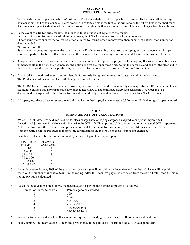#### **SECTION 4 ROPING RULES** *continued*

- 25. Short rounds for each roping are to be run "fast back." The team with the best time ropes first and so on. To determine all the average winners, roping will continue until all places are filled. The fastest time in the first round will serve as the cut-off time in the short round. A team cannot rope in the short round if it's cumulative time plus the cut-off time exceeds the time of the team filling the last place to be paid.
- 26. In the event of a tie for prize money, the money is to be divided out equally to the ropers. In the event of a tie for high point/high money prizes, the OTRA *recommends* the following options 1) determine the winner by the following criteria, in the following order: money won, then number of entries, then number of dates attended

2) a simple coin flip

 3) a rope off to be agreed upon by the ropers or by the Producer selecting an appropriate roping number category, each roper chooses a partner eligible for that category and the team with the best average on four head determines the winner of the tie.

- 27. A roper must be ready to compete when called upon and must not impede the progress of the roping. If a roper's horse becomes unmanageable in the box, the flagman has the option to give the roper three times to get the horse set and call for the steer and if the roper fails on the third attempt, the flagman can call for the steer and determine a "no time" for the team.
- 28. At any OTRA sanctioned event, the horn length of the cattle being used must extend past the end of the horn wrap. The Producer must ensure that the cattle being used meet this criteria.
- 29. The OTRA has no designated dress code; however, each roper is required to dress safely and respectfully. OTRA personnel have the right to enforce that any roper make any change necessary to accommodate safety and sensibility. A roper may be disqualified or suspended if they do not follow a dress code adjustment determined as necessary by OTRA personnel.
- 30. All ropers, regardless of age, must use a standard sized head or heel rope; diameter must be 3/8" or more. No 'kid' or 'goat' ropes allowed.

## **SECTION 5 STANDARD PAY-OFF CALCULATIONS**

- 1. 35% or 20% of Entry Fees paid in is held out for stock charge based on roping categories and producers options implemented. An additional \$2 per team is held out and submitted to the OTRA for Finals prizes. (Unless advertised otherwise *and* OTRA approved.) At District Ropings, the Producer has options to hold out \$1 per team for prizes and, if fees are \$40 per man, then \$1 per team for cattle cost; the Producer is responsible for informing the ropers when these options are exercised.
- 2. Number of places to be paid is determined by number of paid teams in a roping.

| NUMBER of    | PLACES in |
|--------------|-----------|
| <b>TEAMS</b> | AVERAGE   |
| 1 to 10      |           |
| 11 to 50     | 2.        |
| 51 to 75     | 3         |
| 76 to 100    |           |
| 101 to 150   | 5         |
| 151 and up   |           |

- 3. For an Incentive Payout, 20% of the total after stock charge will be paid in the Incentive and number of places will be paid based on the number of incentive teams in the roping. After the Incentive payout is deducted from the overall total, then the main roping payout is calculated.
- Based on the divisions noted above, the percentages for paying the number of places is as follows: 4.

| Percentage to be awarded |
|--------------------------|
| 100                      |
| 60/40                    |
| 50/30/20                 |
| 40/30/20/10              |
| 30/25/20/15/10           |
| 29/24/19/14/9/5          |
|                          |

- 5. Rounding to the nearest whole dollar amount is required. Rounding to the closest 5 or 0 dollar amount is allowed.
- 6. In any roping, if no team catches a steer, the prize money to be paid out is distributed equally to each paid team.